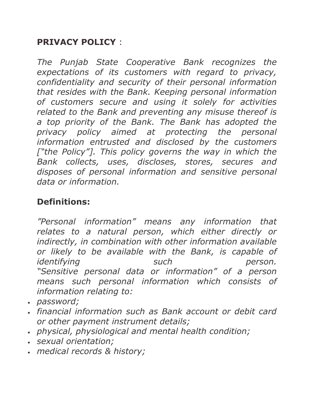#### **PRIVACY POLICY** :

*The Punjab State Cooperative Bank recognizes the expectations of its customers with regard to privacy, confidentiality and security of their personal information that resides with the Bank. Keeping personal information of customers secure and using it solely for activities related to the Bank and preventing any misuse thereof is a top priority of the Bank. The Bank has adopted the privacy policy aimed at protecting the personal information entrusted and disclosed by the customers*  ["the Policy"]. This policy governs the way in which the *Bank collects, uses, discloses, stores, secures and disposes of personal information and sensitive personal data or information.*

# **Definitions:**

*"Personal information" means any information that relates to a natural person, which either directly or indirectly, in combination with other information available or likely to be available with the Bank, is capable of identifying such person. "Sensitive personal data or information" of a person means such personal information which consists of information relating to:*

- *password;*
- *financial information such as Bank account or debit card or other payment instrument details;*
- *physical, physiological and mental health condition;*
- *sexual orientation;*
- *medical records & history;*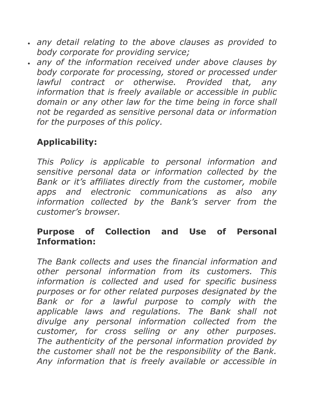- *any detail relating to the above clauses as provided to body corporate for providing service;*
- *any of the information received under above clauses by body corporate for processing, stored or processed under lawful contract or otherwise. Provided that, any information that is freely available or accessible in public domain or any other law for the time being in force shall not be regarded as sensitive personal data or information for the purposes of this policy.*

# **Applicability:**

*This Policy is applicable to personal information and sensitive personal data or information collected by the Bank or it's affiliates directly from the customer, mobile apps and electronic communications as also any information collected by the Bank's server from the customer's browser.*

#### **Purpose of Collection and Use of Personal Information:**

*The Bank collects and uses the financial information and other personal information from its customers. This information is collected and used for specific business purposes or for other related purposes designated by the Bank or for a lawful purpose to comply with the applicable laws and regulations. The Bank shall not divulge any personal information collected from the customer, for cross selling or any other purposes. The authenticity of the personal information provided by the customer shall not be the responsibility of the Bank. Any information that is freely available or accessible in*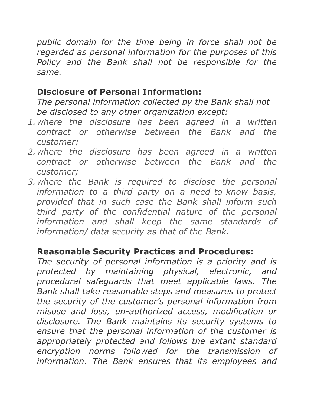*public domain for the time being in force shall not be regarded as personal information for the purposes of this Policy and the Bank shall not be responsible for the same.*

### **Disclosure of Personal Information:**

*The personal information collected by the Bank shall not be disclosed to any other organization except:*

- *1.where the disclosure has been agreed in a written contract or otherwise between the Bank and the customer;*
- *2.where the disclosure has been agreed in a written contract or otherwise between the Bank and the customer;*
- *3.where the Bank is required to disclose the personal information to a third party on a need-to-know basis, provided that in such case the Bank shall inform such third party of the confidential nature of the personal information and shall keep the same standards of information/ data security as that of the Bank.*

### **Reasonable Security Practices and Procedures:**

*The security of personal information is a priority and is protected by maintaining physical, electronic, and procedural safeguards that meet applicable laws. The Bank shall take reasonable steps and measures to protect the security of the customer's personal information from misuse and loss, un-authorized access, modification or disclosure. The Bank maintains its security systems to ensure that the personal information of the customer is appropriately protected and follows the extant standard encryption norms followed for the transmission of information. The Bank ensures that its employees and*